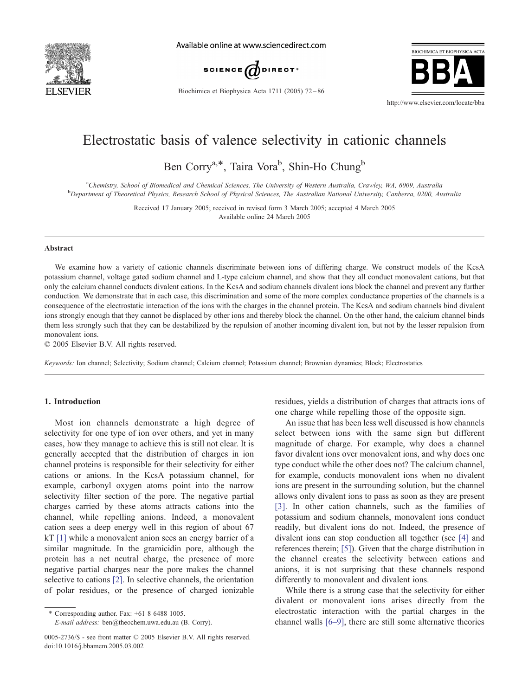

Available online at www.sciencedirect.com



Biochimica et Biophysica Acta 1711 (2005) 72 – 86



http://www.elsevier.com/locate/bba

# Electrostatic basis of valence selectivity in cationic channels

Ben Corry<sup>a,\*</sup>, Taira Vora<sup>b</sup>, Shin-Ho Chung<sup>b</sup>

a Chemistry, School of Biomedical and Chemical Sciences, The University of Western Australia, Crawley, WA, 6009, Australia b Department of Theoretical Physics, Research School of Physical Sciences, The Australian National University, Canberra, 0200, Australia

> Received 17 January 2005; received in revised form 3 March 2005; accepted 4 March 2005 Available online 24 March 2005

# Abstract

We examine how a variety of cationic channels discriminate between ions of differing charge. We construct models of the KcsA potassium channel, voltage gated sodium channel and L-type calcium channel, and show that they all conduct monovalent cations, but that only the calcium channel conducts divalent cations. In the KcsA and sodium channels divalent ions block the channel and prevent any further conduction. We demonstrate that in each case, this discrimination and some of the more complex conductance properties of the channels is a consequence of the electrostatic interaction of the ions with the charges in the channel protein. The KcsA and sodium channels bind divalent ions strongly enough that they cannot be displaced by other ions and thereby block the channel. On the other hand, the calcium channel binds them less strongly such that they can be destabilized by the repulsion of another incoming divalent ion, but not by the lesser repulsion from monovalent ions.

 $© 2005 Elsevier B.V. All rights reserved.$ 

Keywords: Ion channel; Selectivity; Sodium channel; Calcium channel; Potassium channel; Brownian dynamics; Block; Electrostatics

# 1. Introduction

Most ion channels demonstrate a high degree of selectivity for one type of ion over others, and yet in many cases, how they manage to achieve this is still not clear. It is generally accepted that the distribution of charges in ion channel proteins is responsible for their selectivity for either cations or anions. In the KcsA potassium channel, for example, carbonyl oxygen atoms point into the narrow selectivity filter section of the pore. The negative partial charges carried by these atoms attracts cations into the channel, while repelling anions. Indeed, a monovalent cation sees a deep energy well in this region of about 67 kT [\[1\]](#page-12-0) while a monovalent anion sees an energy barrier of a similar magnitude. In the gramicidin pore, although the protein has a net neutral charge, the presence of more negative partial charges near the pore makes the channel selective to cations [\[2\].](#page-13-0) In selective channels, the orientation of polar residues, or the presence of charged ionizable

E-mail address: ben@theochem.uwa.edu.au (B. Corry).

residues, yields a distribution of charges that attracts ions of one charge while repelling those of the opposite sign.

An issue that has been less well discussed is how channels select between ions with the same sign but different magnitude of charge. For example, why does a channel favor divalent ions over monovalent ions, and why does one type conduct while the other does not? The calcium channel, for example, conducts monovalent ions when no divalent ions are present in the surrounding solution, but the channel allows only divalent ions to pass as soon as they are present [\[3\].](#page-13-0) In other cation channels, such as the families of potassium and sodium channels, monovalent ions conduct readily, but divalent ions do not. Indeed, the presence of divalent ions can stop conduction all together (see [\[4\]](#page-13-0) and references therein; [\[5\]\)](#page-13-0). Given that the charge distribution in the channel creates the selectivity between cations and anions, it is not surprising that these channels respond differently to monovalent and divalent ions.

While there is a strong case that the selectivity for either divalent or monovalent ions arises directly from the electrostatic interaction with the partial charges in the channel walls [\[6–9\],](#page-13-0) there are still some alternative theories

<sup>\*</sup> Corresponding author. Fax:  $+61$  8 6488 1005.

<sup>0005-2736/\$ -</sup> see front matter © 2005 Elsevier B.V. All rights reserved. doi:10.1016/j.bbamem.2005.03.002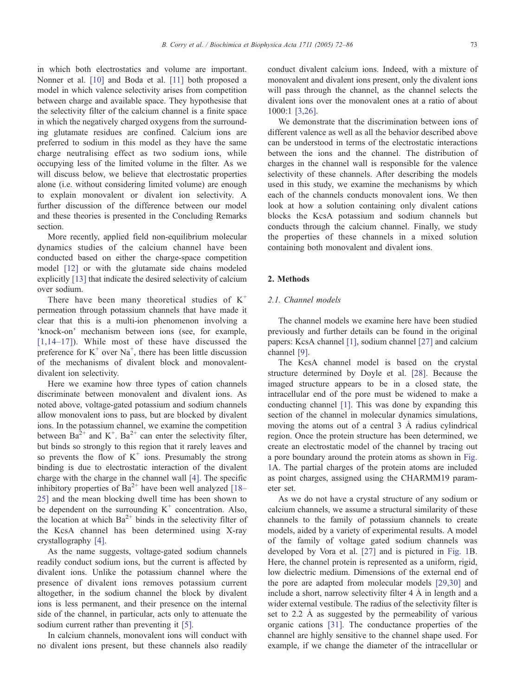in which both electrostatics and volume are important. Nonner et al. [\[10\]](#page-13-0) and Boda et al. [\[11\]](#page-13-0) both proposed a model in which valence selectivity arises from competition between charge and available space. They hypothesise that the selectivity filter of the calcium channel is a finite space in which the negatively charged oxygens from the surrounding glutamate residues are confined. Calcium ions are preferred to sodium in this model as they have the same charge neutralising effect as two sodium ions, while occupying less of the limited volume in the filter. As we will discuss below, we believe that electrostatic properties alone (i.e. without considering limited volume) are enough to explain monovalent or divalent ion selectivity. A further discussion of the difference between our model and these theories is presented in the Concluding Remarks section.

More recently, applied field non-equilibrium molecular dynamics studies of the calcium channel have been conducted based on either the charge-space competition model [\[12\]](#page-13-0) or with the glutamate side chains modeled explicitly [\[13\]](#page-13-0) that indicate the desired selectivity of calcium over sodium.

There have been many theoretical studies of  $K^+$ permeation through potassium channels that have made it clear that this is a multi-ion phenomenon involving a 'knock-on' mechanism between ions (see, for example, [\[1,14–17\]\)](#page-12-0). While most of these have discussed the preference for  $K^+$  over Na<sup>+</sup>, there has been little discussion of the mechanisms of divalent block and monovalentdivalent ion selectivity.

Here we examine how three types of cation channels discriminate between monovalent and divalent ions. As noted above, voltage-gated potassium and sodium channels allow monovalent ions to pass, but are blocked by divalent ions. In the potassium channel, we examine the competition between  $Ba^{2+}$  and  $K^{+}$ .  $Ba^{2+}$  can enter the selectivity filter, but binds so strongly to this region that it rarely leaves and so prevents the flow of  $K^+$  ions. Presumably the strong binding is due to electrostatic interaction of the divalent charge with the charge in the channel wall [\[4\].](#page-13-0) The specific inhibitory properties of  $Ba^{2+}$  have been well analyzed [\[18–](#page-13-0) 25] and the mean blocking dwell time has been shown to be dependent on the surrounding  $K^+$  concentration. Also, the location at which  $Ba^{2+}$  binds in the selectivity filter of the KcsA channel has been determined using X-ray crystallography [\[4\].](#page-13-0)

As the name suggests, voltage-gated sodium channels readily conduct sodium ions, but the current is affected by divalent ions. Unlike the potassium channel where the presence of divalent ions removes potassium current altogether, in the sodium channel the block by divalent ions is less permanent, and their presence on the internal side of the channel, in particular, acts only to attenuate the sodium current rather than preventing it [\[5\].](#page-13-0)

In calcium channels, monovalent ions will conduct with no divalent ions present, but these channels also readily conduct divalent calcium ions. Indeed, with a mixture of monovalent and divalent ions present, only the divalent ions will pass through the channel, as the channel selects the divalent ions over the monovalent ones at a ratio of about 1000:1 [\[3,26\].](#page-13-0)

We demonstrate that the discrimination between ions of different valence as well as all the behavior described above can be understood in terms of the electrostatic interactions between the ions and the channel. The distribution of charges in the channel wall is responsible for the valence selectivity of these channels. After describing the models used in this study, we examine the mechanisms by which each of the channels conducts monovalent ions. We then look at how a solution containing only divalent cations blocks the KcsA potassium and sodium channels but conducts through the calcium channel. Finally, we study the properties of these channels in a mixed solution containing both monovalent and divalent ions.

# 2. Methods

# 2.1. Channel models

The channel models we examine here have been studied previously and further details can be found in the original papers: KcsA channel [\[1\],](#page-12-0) sodium channel [\[27\]](#page-13-0) and calcium channel [\[9\].](#page-13-0)

The KcsA channel model is based on the crystal structure determined by Doyle et al. [\[28\].](#page-13-0) Because the imaged structure appears to be in a closed state, the intracellular end of the pore must be widened to make a conducting channel [\[1\].](#page-12-0) This was done by expanding this section of the channel in molecular dynamics simulations, moving the atoms out of a central  $3 \text{ Å}$  radius cylindrical region. Once the protein structure has been determined, we create an electrostatic model of the channel by tracing out a pore boundary around the protein atoms as shown in [Fig.](#page-2-0) 1A. The partial charges of the protein atoms are included as point charges, assigned using the CHARMM19 parameter set.

As we do not have a crystal structure of any sodium or calcium channels, we assume a structural similarity of these channels to the family of potassium channels to create models, aided by a variety of experimental results. A model of the family of voltage gated sodium channels was developed by Vora et al. [\[27\]](#page-13-0) and is pictured in [Fig. 1B](#page-2-0). Here, the channel protein is represented as a uniform, rigid, low dielectric medium. Dimensions of the external end of the pore are adapted from molecular models [\[29,30\]](#page-13-0) and include a short, narrow selectivity filter  $4 \text{ Å}$  in length and a wider external vestibule. The radius of the selectivity filter is set to 2.2  $\AA$  as suggested by the permeability of various organic cations [\[31\].](#page-13-0) The conductance properties of the channel are highly sensitive to the channel shape used. For example, if we change the diameter of the intracellular or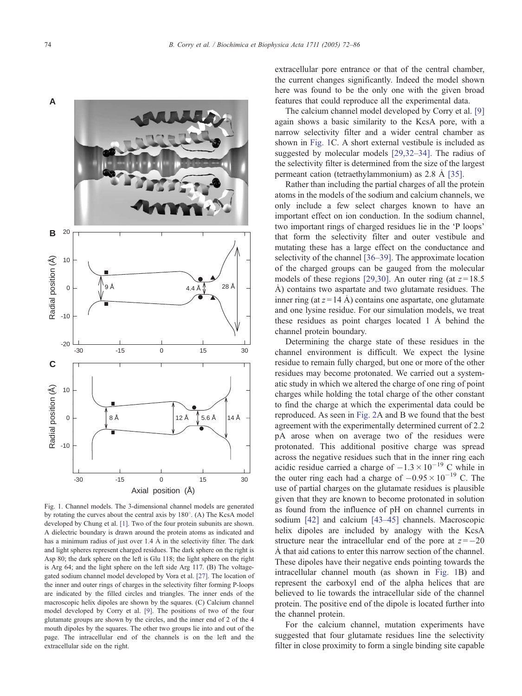<span id="page-2-0"></span>

Fig. 1. Channel models. The 3-dimensional channel models are generated by rotating the curves about the central axis by  $180^\circ$ . (A) The KcsA model developed by Chung et al. [\[1\].](#page-12-0) Two of the four protein subunits are shown. A dielectric boundary is drawn around the protein atoms as indicated and has a minimum radius of just over  $1.4 \text{ Å}$  in the selectivity filter. The dark and light spheres represent charged residues. The dark sphere on the right is Asp 80; the dark sphere on the left is Glu 118; the light sphere on the right is Arg 64; and the light sphere on the left side Arg 117. (B) The voltagegated sodium channel model developed by Vora et al. [\[27\].](#page-13-0) The location of the inner and outer rings of charges in the selectivity filter forming P-loops are indicated by the filled circles and triangles. The inner ends of the macroscopic helix dipoles are shown by the squares. (C) Calcium channel model developed by Corry et al. [\[9\].](#page-13-0) The positions of two of the four glutamate groups are shown by the circles, and the inner end of 2 of the 4 mouth dipoles by the squares. The other two groups lie into and out of the page. The intracellular end of the channels is on the left and the extracellular side on the right.

extracellular pore entrance or that of the central chamber, the current changes significantly. Indeed the model shown here was found to be the only one with the given broad features that could reproduce all the experimental data.

The calcium channel model developed by Corry et al. [\[9\]](#page-13-0) again shows a basic similarity to the KcsA pore, with a narrow selectivity filter and a wider central chamber as shown in Fig. 1C. A short external vestibule is included as suggested by molecular models [\[29,32–34\].](#page-13-0) The radius of the selectivity filter is determined from the size of the largest permeant cation (tetraethylammonium) as  $2.8 \text{ Å}$  [\[35\].](#page-13-0)

Rather than including the partial charges of all the protein atoms in the models of the sodium and calcium channels, we only include a few select charges known to have an important effect on ion conduction. In the sodium channel, two important rings of charged residues lie in the 'P loops' that form the selectivity filter and outer vestibule and mutating these has a large effect on the conductance and selectivity of the channel [\[36–39\].](#page-13-0) The approximate location of the charged groups can be gauged from the molecular models of these regions [\[29,30\].](#page-13-0) An outer ring (at  $z=18.5$ ) 2) contains two aspartate and two glutamate residues. The inner ring (at  $z = 14 \text{ Å}$ ) contains one aspartate, one glutamate and one lysine residue. For our simulation models, we treat these residues as point charges located  $1 \text{ Å}$  behind the channel protein boundary.

Determining the charge state of these residues in the channel environment is difficult. We expect the lysine residue to remain fully charged, but one or more of the other residues may become protonated. We carried out a systematic study in which we altered the charge of one ring of point charges while holding the total charge of the other constant to find the charge at which the experimental data could be reproduced. As seen in [Fig. 2A](#page-3-0) and B we found that the best agreement with the experimentally determined current of 2.2 pA arose when on average two of the residues were protonated. This additional positive charge was spread across the negative residues such that in the inner ring each acidic residue carried a charge of  $-1.3 \times 10^{-19}$  C while in the outer ring each had a charge of  $-0.95 \times 10^{-19}$  C. The use of partial charges on the glutamate residues is plausible given that they are known to become protonated in solution as found from the influence of pH on channel currents in sodium [\[42\]](#page-13-0) and calcium [\[43–45\]](#page-13-0) channels. Macroscopic helix dipoles are included by analogy with the KcsA structure near the intracellular end of the pore at  $z = -20$  $Å$  that aid cations to enter this narrow section of the channel. These dipoles have their negative ends pointing towards the intracellular channel mouth (as shown in Fig. 1B) and represent the carboxyl end of the alpha helices that are believed to lie towards the intracellular side of the channel protein. The positive end of the dipole is located further into the channel protein.

For the calcium channel, mutation experiments have suggested that four glutamate residues line the selectivity filter in close proximity to form a single binding site capable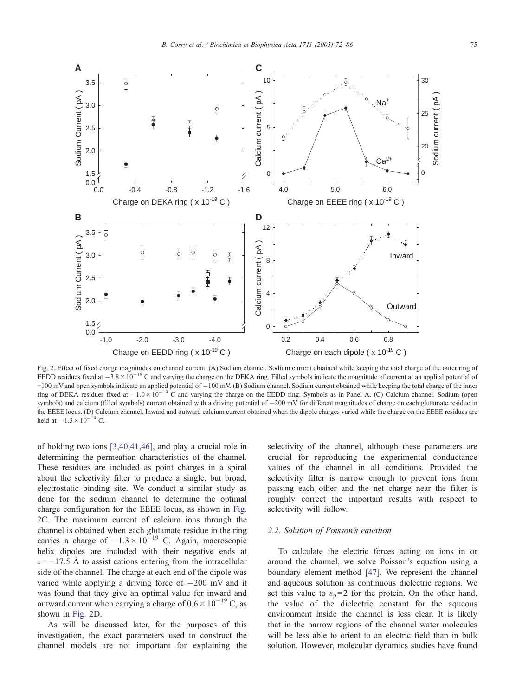<span id="page-3-0"></span>

Fig. 2. Effect of fixed charge magnitudes on channel current. (A) Sodium channel. Sodium current obtained while keeping the total charge of the outer ring of EEDD residues fixed at  $-3.8 \times 10^{-19}$  C and varying the charge on the DEKA ring. Filled symbols indicate the magnitude of current at an applied potential of +100 mV and open symbols indicate an applied potential of -100 mV. (B) Sodium channel. Sodium current obtained while keeping the total charge of the inner ring of DEKA residues fixed at  $-1.0 \times 10^{-19}$  C and varying the charge on the EEDD ring. Symbols as in Panel A. (C) Calcium channel. Sodium (open symbols) and calcium (filled symbols) current obtained with a driving potential of -200 mV for different magnitudes of charge on each glutamate residue in the EEEE locus. (D) Calcium channel. Inward and outward calcium current obtained when the dipole charges varied while the charge on the EEEE residues are held at  $-1.3 \times 10^{-19}$  C.

of holding two ions [\[3,40,41,46\],](#page-13-0) and play a crucial role in determining the permeation characteristics of the channel. These residues are included as point charges in a spiral about the selectivity filter to produce a single, but broad, electrostatic binding site. We conduct a similar study as done for the sodium channel to determine the optimal charge configuration for the EEEE locus, as shown in Fig. 2C. The maximum current of calcium ions through the channel is obtained when each glutamate residue in the ring carries a charge of  $-1.3 \times 10^{-19}$  C. Again, macroscopic helix dipoles are included with their negative ends at  $z = -17.5$  Å to assist cations entering from the intracellular side of the channel. The charge at each end of the dipole was varied while applying a driving force of  $-200$  mV and it was found that they give an optimal value for inward and outward current when carrying a charge of  $0.6 \times 10^{-19}$  C, as shown in Fig. 2D.

As will be discussed later, for the purposes of this investigation, the exact parameters used to construct the channel models are not important for explaining the selectivity of the channel, although these parameters are crucial for reproducing the experimental conductance values of the channel in all conditions. Provided the selectivity filter is narrow enough to prevent ions from passing each other and the net charge near the filter is roughly correct the important results with respect to selectivity will follow.

#### 2.2. Solution of Poisson's equation

To calculate the electric forces acting on ions in or around the channel, we solve Poisson's equation using a boundary element method [\[47\].](#page-13-0) We represent the channel and aqueous solution as continuous dielectric regions. We set this value to  $\varepsilon_p = 2$  for the protein. On the other hand, the value of the dielectric constant for the aqueous environment inside the channel is less clear. It is likely that in the narrow regions of the channel water molecules will be less able to orient to an electric field than in bulk solution. However, molecular dynamics studies have found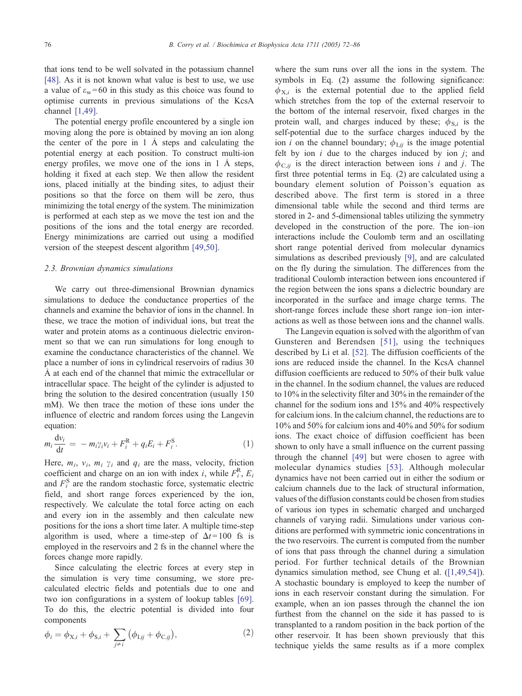that ions tend to be well solvated in the potassium channel [\[48\]](#page-13-0). As it is not known what value is best to use, we use a value of  $\varepsilon_w = 60$  in this study as this choice was found to optimise currents in previous simulations of the KcsA channel [\[1,49\].](#page-12-0)

The potential energy profile encountered by a single ion moving along the pore is obtained by moving an ion along the center of the pore in  $1 \text{ Å}$  steps and calculating the potential energy at each position. To construct multi-ion energy profiles, we move one of the ions in  $1 \text{ Å}$  steps, holding it fixed at each step. We then allow the resident ions, placed initially at the binding sites, to adjust their positions so that the force on them will be zero, thus minimizing the total energy of the system. The minimization is performed at each step as we move the test ion and the positions of the ions and the total energy are recorded. Energy minimizations are carried out using a modified version of the steepest descent algorithm [\[49,50\].](#page-14-0)

#### 2.3. Brownian dynamics simulations

We carry out three-dimensional Brownian dynamics simulations to deduce the conductance properties of the channels and examine the behavior of ions in the channel. In these, we trace the motion of individual ions, but treat the water and protein atoms as a continuous dielectric environment so that we can run simulations for long enough to examine the conductance characteristics of the channel. We place a number of ions in cylindrical reservoirs of radius 30 2 at each end of the channel that mimic the extracellular or intracellular space. The height of the cylinder is adjusted to bring the solution to the desired concentration (usually 150 mM). We then trace the motion of these ions under the influence of electric and random forces using the Langevin equation:

$$
m_i \frac{\mathrm{d}v_i}{\mathrm{d}t} = -m_i \gamma_i v_i + F_i^{\mathrm{R}} + q_i E_i + F_i^{\mathrm{S}}.
$$
 (1)

Here,  $m_i$ ,  $v_i$ ,  $m_i$   $\gamma_i$  and  $q_i$  are the mass, velocity, friction coefficient and charge on an ion with index *i*, while  $F_i^R$ ,  $E_i$ and  $F_i^S$  are the random stochastic force, systematic electric field, and short range forces experienced by the ion, respectively. We calculate the total force acting on each and every ion in the assembly and then calculate new positions for the ions a short time later. A multiple time-step algorithm is used, where a time-step of  $\Delta t = 100$  fs is employed in the reservoirs and 2 fs in the channel where the forces change more rapidly.

Since calculating the electric forces at every step in the simulation is very time consuming, we store precalculated electric fields and potentials due to one and two ion configurations in a system of lookup tables [\[69\].](#page-13-0) To do this, the electric potential is divided into four components

$$
\phi_i = \phi_{X,i} + \phi_{S,i} + \sum_{j \neq i} (\phi_{I,ij} + \phi_{C,ij}),
$$
\n(2)

where the sum runs over all the ions in the system. The symbols in Eq. (2) assume the following significance:  $\phi_{X,i}$  is the external potential due to the applied field which stretches from the top of the external reservoir to the bottom of the internal reservoir, fixed charges in the protein wall, and charges induced by these;  $\phi_{S,i}$  is the self-potential due to the surface charges induced by the ion *i* on the channel boundary;  $\phi_{I,ij}$  is the image potential felt by ion  $i$  due to the charges induced by ion  $j$ ; and  $\phi_{C,i}$  is the direct interaction between ions i and j. The first three potential terms in Eq. (2) are calculated using a boundary element solution of Poisson's equation as described above. The first term is stored in a three dimensional table while the second and third terms are stored in 2- and 5-dimensional tables utilizing the symmetry developed in the construction of the pore. The ion–ion interactions include the Coulomb term and an oscillating short range potential derived from molecular dynamics simulations as described previously [\[9\],](#page-13-0) and are calculated on the fly during the simulation. The differences from the traditional Coulomb interaction between ions encountered if the region between the ions spans a dielectric boundary are incorporated in the surface and image charge terms. The short-range forces include these short range ion–ion interactions as well as those between ions and the channel walls.

The Langevin equation is solved with the algorithm of van Gunsteren and Berendsen [\[51\],](#page-14-0) using the techniques described by Li et al. [\[52\].](#page-14-0) The diffusion coefficients of the ions are reduced inside the channel. In the KcsA channel diffusion coefficients are reduced to 50% of their bulk value in the channel. In the sodium channel, the values are reduced to 10% in the selectivity filter and 30% in the remainder of the channel for the sodium ions and 15% and 40% respectively for calcium ions. In the calcium channel, the reductions are to 10% and 50% for calcium ions and 40% and 50% for sodium ions. The exact choice of diffusion coefficient has been shown to only have a small influence on the current passing through the channel [\[49\]](#page-14-0) but were chosen to agree with molecular dynamics studies [\[53\].](#page-14-0) Although molecular dynamics have not been carried out in either the sodium or calcium channels due to the lack of structural information, values of the diffusion constants could be chosen from studies of various ion types in schematic charged and uncharged channels of varying radii. Simulations under various conditions are performed with symmetric ionic concentrations in the two reservoirs. The current is computed from the number of ions that pass through the channel during a simulation period. For further technical details of the Brownian dynamics simulation method, see Chung et al. ([\[1,49,54\]\)](#page-12-0). A stochastic boundary is employed to keep the number of ions in each reservoir constant during the simulation. For example, when an ion passes through the channel the ion furthest from the channel on the side it has passed to is transplanted to a random position in the back portion of the other reservoir. It has been shown previously that this technique yields the same results as if a more complex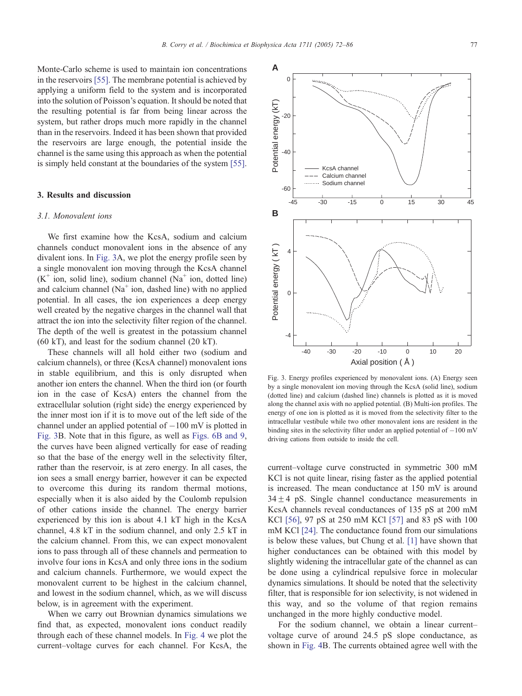<span id="page-5-0"></span>Monte-Carlo scheme is used to maintain ion concentrations in the reservoirs [\[55\].](#page-14-0) The membrane potential is achieved by applying a uniform field to the system and is incorporated into the solution of Poisson's equation. It should be noted that the resulting potential is far from being linear across the system, but rather drops much more rapidly in the channel than in the reservoirs. Indeed it has been shown that provided the reservoirs are large enough, the potential inside the channel is the same using this approach as when the potential is simply held constant at the boundaries of the system [\[55\].](#page-14-0)

# 3. Results and discussion

# 3.1. Monovalent ions

We first examine how the KcsA, sodium and calcium channels conduct monovalent ions in the absence of any divalent ions. In Fig. 3A, we plot the energy profile seen by a single monovalent ion moving through the KcsA channel  $(K^+$  ion, solid line), sodium channel (Na<sup>+</sup> ion, dotted line) and calcium channel  $(Na^+)$  ion, dashed line) with no applied potential. In all cases, the ion experiences a deep energy well created by the negative charges in the channel wall that attract the ion into the selectivity filter region of the channel. The depth of the well is greatest in the potassium channel (60 kT), and least for the sodium channel (20 kT).

These channels will all hold either two (sodium and calcium channels), or three (KcsA channel) monovalent ions in stable equilibrium, and this is only disrupted when another ion enters the channel. When the third ion (or fourth ion in the case of KcsA) enters the channel from the extracellular solution (right side) the energy experienced by the inner most ion if it is to move out of the left side of the channel under an applied potential of  $-100$  mV is plotted in Fig. 3B. Note that in this figure, as well as [Figs. 6B and 9,](#page-7-0) the curves have been aligned vertically for ease of reading so that the base of the energy well in the selectivity filter, rather than the reservoir, is at zero energy. In all cases, the ion sees a small energy barrier, however it can be expected to overcome this during its random thermal motions, especially when it is also aided by the Coulomb repulsion of other cations inside the channel. The energy barrier experienced by this ion is about 4.1 kT high in the KcsA channel, 4.8 kT in the sodium channel, and only 2.5 kT in the calcium channel. From this, we can expect monovalent ions to pass through all of these channels and permeation to involve four ions in KcsA and only three ions in the sodium and calcium channels. Furthermore, we would expect the monovalent current to be highest in the calcium channel, and lowest in the sodium channel, which, as we will discuss below, is in agreement with the experiment.

When we carry out Brownian dynamics simulations we find that, as expected, monovalent ions conduct readily through each of these channel models. In [Fig. 4](#page-6-0) we plot the current–voltage curves for each channel. For KcsA, the



Fig. 3. Energy profiles experienced by monovalent ions. (A) Energy seen by a single monovalent ion moving through the KcsA (solid line), sodium (dotted line) and calcium (dashed line) channels is plotted as it is moved along the channel axis with no applied potential. (B) Multi-ion profiles. The energy of one ion is plotted as it is moved from the selectivity filter to the intracellular vestibule while two other monovalent ions are resident in the binding sites in the selectivity filter under an applied potential of  $-100$  mV driving cations from outside to inside the cell.

current–voltage curve constructed in symmetric 300 mM KCl is not quite linear, rising faster as the applied potential is increased. The mean conductance at 150 mV is around  $34 \pm 4$  pS. Single channel conductance measurements in KcsA channels reveal conductances of 135 pS at 200 mM KCl [\[56\],](#page-14-0) 97 pS at 250 mM KCl [\[57\]](#page-14-0) and 83 pS with 100 mM KCl [\[24\].](#page-13-0) The conductance found from our simulations is below these values, but Chung et al. [\[1\]](#page-12-0) have shown that higher conductances can be obtained with this model by slightly widening the intracellular gate of the channel as can be done using a cylindrical repulsive force in molecular dynamics simulations. It should be noted that the selectivity filter, that is responsible for ion selectivity, is not widened in this way, and so the volume of that region remains unchanged in the more highly conductive model.

For the sodium channel, we obtain a linear current– voltage curve of around 24.5 pS slope conductance, as shown in [Fig. 4B](#page-6-0). The currents obtained agree well with the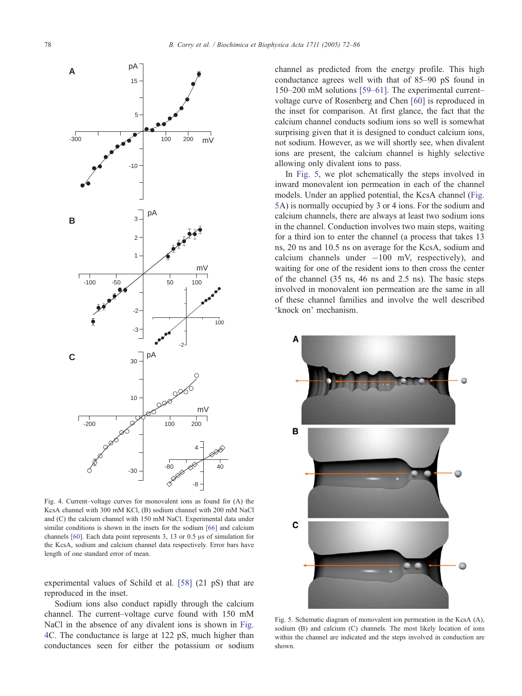<span id="page-6-0"></span>

Fig. 4. Current–voltage curves for monovalent ions as found for (A) the KcsA channel with 300 mM KCl, (B) sodium channel with 200 mM NaCl and (C) the calcium channel with 150 mM NaCl. Experimental data under similar conditions is shown in the insets for the sodium [\[66\]](#page-14-0) and calcium channels  $[60]$ . Each data point represents 3, 13 or 0.5  $\mu$ s of simulation for the KcsA, sodium and calcium channel data respectively. Error bars have length of one standard error of mean.

experimental values of Schild et al. [\[58\]](#page-14-0) (21 pS) that are reproduced in the inset.

Sodium ions also conduct rapidly through the calcium channel. The current–voltage curve found with 150 mM NaCl in the absence of any divalent ions is shown in Fig. 4C. The conductance is large at 122 pS, much higher than conductances seen for either the potassium or sodium channel as predicted from the energy profile. This high conductance agrees well with that of 85–90 pS found in 150–200 mM solutions [\[59–61\].](#page-14-0) The experimental current– voltage curve of Rosenberg and Chen [\[60\]](#page-14-0) is reproduced in the inset for comparison. At first glance, the fact that the calcium channel conducts sodium ions so well is somewhat surprising given that it is designed to conduct calcium ions, not sodium. However, as we will shortly see, when divalent ions are present, the calcium channel is highly selective allowing only divalent ions to pass.

In Fig. 5, we plot schematically the steps involved in inward monovalent ion permeation in each of the channel models. Under an applied potential, the KcsA channel (Fig. 5A) is normally occupied by 3 or 4 ions. For the sodium and calcium channels, there are always at least two sodium ions in the channel. Conduction involves two main steps, waiting for a third ion to enter the channel (a process that takes 13 ns, 20 ns and 10.5 ns on average for the KcsA, sodium and calcium channels under  $-100$  mV, respectively), and waiting for one of the resident ions to then cross the center of the channel (35 ns, 46 ns and 2.5 ns). The basic steps involved in monovalent ion permeation are the same in all of these channel families and involve the well described 'knock on' mechanism.



Fig. 5. Schematic diagram of monovalent ion permeation in the KcsA (A), sodium (B) and calcium (C) channels. The most likely location of ions within the channel are indicated and the steps involved in conduction are shown.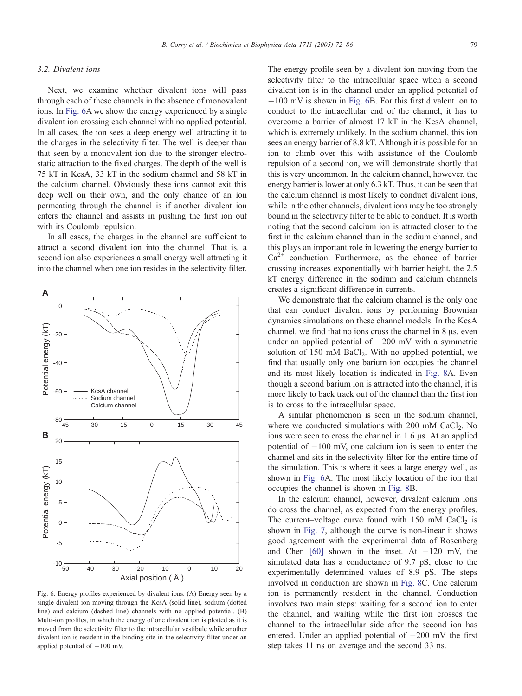# <span id="page-7-0"></span>3.2. Divalent ions

Next, we examine whether divalent ions will pass through each of these channels in the absence of monovalent ions. In Fig. 6A we show the energy experienced by a single divalent ion crossing each channel with no applied potential. In all cases, the ion sees a deep energy well attracting it to the charges in the selectivity filter. The well is deeper than that seen by a monovalent ion due to the stronger electrostatic attraction to the fixed charges. The depth of the well is 75 kT in KcsA, 33 kT in the sodium channel and 58 kT in the calcium channel. Obviously these ions cannot exit this deep well on their own, and the only chance of an ion permeating through the channel is if another divalent ion enters the channel and assists in pushing the first ion out with its Coulomb repulsion.

In all cases, the charges in the channel are sufficient to attract a second divalent ion into the channel. That is, a second ion also experiences a small energy well attracting it into the channel when one ion resides in the selectivity filter.



Fig. 6. Energy profiles experienced by divalent ions. (A) Energy seen by a single divalent ion moving through the KcsA (solid line), sodium (dotted line) and calcium (dashed line) channels with no applied potential. (B) Multi-ion profiles, in which the energy of one divalent ion is plotted as it is moved from the selectivity filter to the intracellular vestibule while another divalent ion is resident in the binding site in the selectivity filter under an applied potential of  $-100$  mV.

The energy profile seen by a divalent ion moving from the selectivity filter to the intracellular space when a second divalent ion is in the channel under an applied potential of  $-100$  mV is shown in Fig. 6B. For this first divalent ion to conduct to the intracellular end of the channel, it has to overcome a barrier of almost 17 kT in the KcsA channel, which is extremely unlikely. In the sodium channel, this ion sees an energy barrier of 8.8 kT. Although it is possible for an ion to climb over this with assistance of the Coulomb repulsion of a second ion, we will demonstrate shortly that this is very uncommon. In the calcium channel, however, the energy barrier is lower at only 6.3 kT. Thus, it can be seen that the calcium channel is most likely to conduct divalent ions, while in the other channels, divalent ions may be too strongly bound in the selectivity filter to be able to conduct. It is worth noting that the second calcium ion is attracted closer to the first in the calcium channel than in the sodium channel, and this plays an important role in lowering the energy barrier to  $Ca^{2+}$  conduction. Furthermore, as the chance of barrier crossing increases exponentially with barrier height, the 2.5 kT energy difference in the sodium and calcium channels creates a significant difference in currents.

We demonstrate that the calcium channel is the only one that can conduct divalent ions by performing Brownian dynamics simulations on these channel models. In the KcsA channel, we find that no ions cross the channel in  $8 \mu s$ , even under an applied potential of  $-200$  mV with a symmetric solution of 150 mM BaCl<sub>2</sub>. With no applied potential, we find that usually only one barium ion occupies the channel and its most likely location is indicated in [Fig. 8A](#page-8-0). Even though a second barium ion is attracted into the channel, it is more likely to back track out of the channel than the first ion is to cross to the intracellular space.

A similar phenomenon is seen in the sodium channel, where we conducted simulations with  $200 \text{ mM } CaCl<sub>2</sub>$ . No ions were seen to cross the channel in  $1.6 \mu s$ . At an applied potential of  $-100$  mV, one calcium ion is seen to enter the channel and sits in the selectivity filter for the entire time of the simulation. This is where it sees a large energy well, as shown in Fig. 6A. The most likely location of the ion that occupies the channel is shown in [Fig. 8B](#page-8-0).

In the calcium channel, however, divalent calcium ions do cross the channel, as expected from the energy profiles. The current–voltage curve found with  $150 \text{ mM }$  CaCl<sub>2</sub> is shown in [Fig. 7,](#page-8-0) although the curve is non-linear it shows good agreement with the experimental data of Rosenberg and Chen  $[60]$  shown in the inset. At  $-120$  mV, the simulated data has a conductance of 9.7 pS, close to the experimentally determined values of 8.9 pS. The steps involved in conduction are shown in [Fig. 8C](#page-8-0). One calcium ion is permanently resident in the channel. Conduction involves two main steps: waiting for a second ion to enter the channel, and waiting while the first ion crosses the channel to the intracellular side after the second ion has entered. Under an applied potential of  $-200$  mV the first step takes 11 ns on average and the second 33 ns.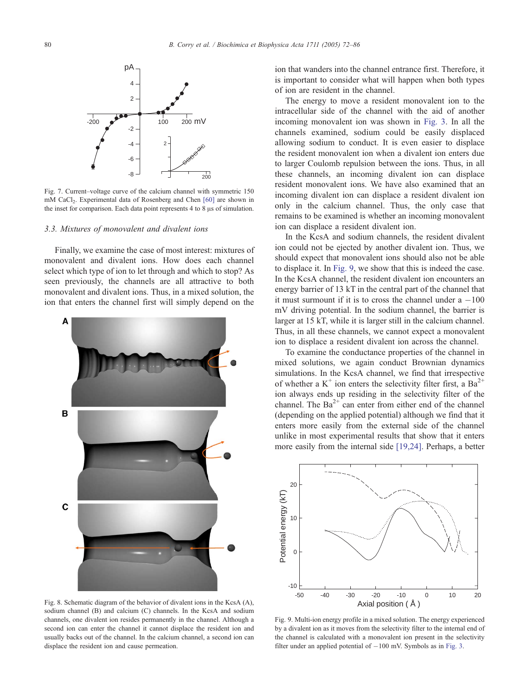<span id="page-8-0"></span>

Fig. 7. Current–voltage curve of the calcium channel with symmetric 150 mM CaCl<sub>2</sub>. Experimental data of Rosenberg and Chen [\[60\]](#page-14-0) are shown in the inset for comparison. Each data point represents  $4$  to  $8 \mu s$  of simulation.

#### 3.3. Mixtures of monovalent and divalent ions

Finally, we examine the case of most interest: mixtures of monovalent and divalent ions. How does each channel select which type of ion to let through and which to stop? As seen previously, the channels are all attractive to both monovalent and divalent ions. Thus, in a mixed solution, the ion that enters the channel first will simply depend on the



Fig. 8. Schematic diagram of the behavior of divalent ions in the KcsA (A), sodium channel (B) and calcium (C) channels. In the KcsA and sodium channels, one divalent ion resides permanently in the channel. Although a second ion can enter the channel it cannot displace the resident ion and usually backs out of the channel. In the calcium channel, a second ion can displace the resident ion and cause permeation.

ion that wanders into the channel entrance first. Therefore, it is important to consider what will happen when both types of ion are resident in the channel.

The energy to move a resident monovalent ion to the intracellular side of the channel with the aid of another incoming monovalent ion was shown in [Fig. 3.](#page-5-0) In all the channels examined, sodium could be easily displaced allowing sodium to conduct. It is even easier to displace the resident monovalent ion when a divalent ion enters due to larger Coulomb repulsion between the ions. Thus, in all these channels, an incoming divalent ion can displace resident monovalent ions. We have also examined that an incoming divalent ion can displace a resident divalent ion only in the calcium channel. Thus, the only case that remains to be examined is whether an incoming monovalent ion can displace a resident divalent ion.

In the KcsA and sodium channels, the resident divalent ion could not be ejected by another divalent ion. Thus, we should expect that monovalent ions should also not be able to displace it. In Fig. 9, we show that this is indeed the case. In the KcsA channel, the resident divalent ion encounters an energy barrier of 13 kT in the central part of the channel that it must surmount if it is to cross the channel under  $a - 100$ mV driving potential. In the sodium channel, the barrier is larger at 15 kT, while it is larger still in the calcium channel. Thus, in all these channels, we cannot expect a monovalent ion to displace a resident divalent ion across the channel.

To examine the conductance properties of the channel in mixed solutions, we again conduct Brownian dynamics simulations. In the KcsA channel, we find that irrespective of whether a  $K^+$  ion enters the selectivity filter first, a Ba<sup>2+</sup> ion always ends up residing in the selectivity filter of the channel. The  $Ba^{2+}$  can enter from either end of the channel (depending on the applied potential) although we find that it enters more easily from the external side of the channel unlike in most experimental results that show that it enters more easily from the internal side [\[19,24\].](#page-13-0) Perhaps, a better



Fig. 9. Multi-ion energy profile in a mixed solution. The energy experienced by a divalent ion as it moves from the selectivity filter to the internal end of the channel is calculated with a monovalent ion present in the selectivity filter under an applied potential of  $-100$  mV. Symbols as in [Fig. 3.](#page-5-0)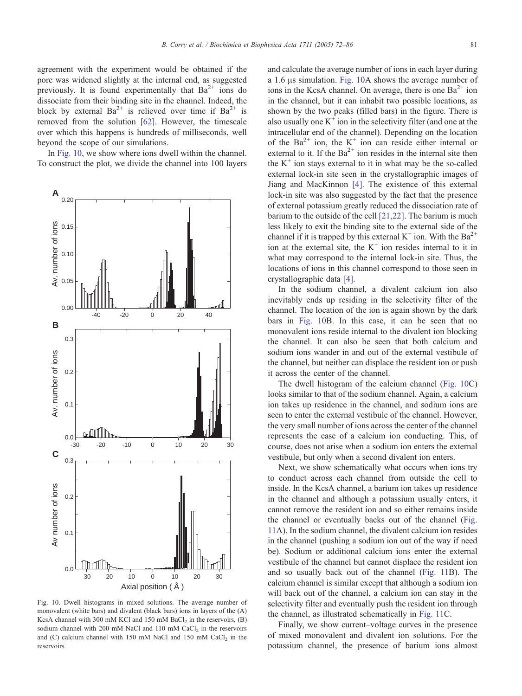agreement with the experiment would be obtained if the pore was widened slightly at the internal end, as suggested previously. It is found experimentally that  $Ba^{2+}$  ions do dissociate from their binding site in the channel. Indeed, the block by external  $Ba^{2+}$  is relieved over time if  $Ba^{2+}$  is removed from the solution [\[62\].](#page-14-0) However, the timescale over which this happens is hundreds of milliseconds, well beyond the scope of our simulations.

In Fig. 10, we show where ions dwell within the channel. To construct the plot, we divide the channel into 100 layers



Fig. 10. Dwell histograms in mixed solutions. The average number of monovalent (white bars) and divalent (black bars) ions in layers of the (A) KcsA channel with 300 mM KCl and 150 mM  $BaCl<sub>2</sub>$  in the reservoirs, (B) sodium channel with 200 mM NaCl and 110 mM CaCl<sub>2</sub> in the reservoirs and (C) calcium channel with 150 mM NaCl and 150 mM CaCl<sub>2</sub> in the reservoirs.

and calculate the average number of ions in each layer during a 1.6  $\mu$ s simulation. Fig. 10A shows the average number of ions in the KcsA channel. On average, there is one  $Ba^{2+}$  ion in the channel, but it can inhabit two possible locations, as shown by the two peaks (filled bars) in the figure. There is also usually one  $K^+$  ion in the selectivity filter (and one at the intracellular end of the channel). Depending on the location of the  $Ba^{2+}$  ion, the K<sup>+</sup> ion can reside either internal or external to it. If the  $Ba^{2+}$  ion resides in the internal site then the  $K^+$  ion stays external to it in what may be the so-called external lock-in site seen in the crystallographic images of Jiang and MacKinnon [\[4\].](#page-13-0) The existence of this external lock-in site was also suggested by the fact that the presence of external potassium greatly reduced the dissociation rate of barium to the outside of the cell [\[21,22\].](#page-13-0) The barium is much less likely to exit the binding site to the external side of the channel if it is trapped by this external  $K^+$  ion. With the Ba<sup>2+</sup> ion at the external site, the  $K^+$  ion resides internal to it in what may correspond to the internal lock-in site. Thus, the locations of ions in this channel correspond to those seen in crystallographic data [\[4\].](#page-13-0)

In the sodium channel, a divalent calcium ion also inevitably ends up residing in the selectivity filter of the channel. The location of the ion is again shown by the dark bars in Fig. 10B. In this case, it can be seen that no monovalent ions reside internal to the divalent ion blocking the channel. It can also be seen that both calcium and sodium ions wander in and out of the external vestibule of the channel, but neither can displace the resident ion or push it across the center of the channel.

The dwell histogram of the calcium channel (Fig. 10C) looks similar to that of the sodium channel. Again, a calcium ion takes up residence in the channel, and sodium ions are seen to enter the external vestibule of the channel. However, the very small number of ions across the center of the channel represents the case of a calcium ion conducting. This, of course, does not arise when a sodium ion enters the external vestibule, but only when a second divalent ion enters.

Next, we show schematically what occurs when ions try to conduct across each channel from outside the cell to inside. In the KcsA channel, a barium ion takes up residence in the channel and although a potassium usually enters, it cannot remove the resident ion and so either remains inside the channel or eventually backs out of the channel ([Fig.](#page-10-0) 11A). In the sodium channel, the divalent calcium ion resides in the channel (pushing a sodium ion out of the way if need be). Sodium or additional calcium ions enter the external vestibule of the channel but cannot displace the resident ion and so usually back out of the channel ([Fig. 11B](#page-10-0)). The calcium channel is similar except that although a sodium ion will back out of the channel, a calcium ion can stay in the selectivity filter and eventually push the resident ion through the channel, as illustrated schematically in [Fig. 11C](#page-10-0).

Finally, we show current–voltage curves in the presence of mixed monovalent and divalent ion solutions. For the potassium channel, the presence of barium ions almost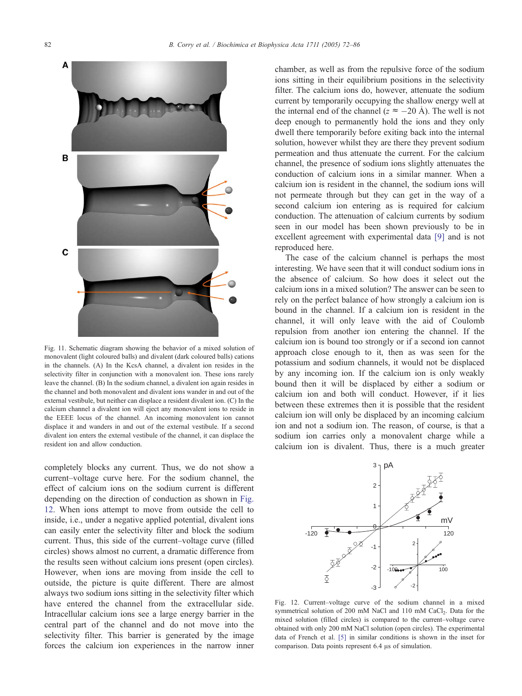<span id="page-10-0"></span>

Fig. 11. Schematic diagram showing the behavior of a mixed solution of monovalent (light coloured balls) and divalent (dark coloured balls) cations in the channels. (A) In the KcsA channel, a divalent ion resides in the selectivity filter in conjunction with a monovalent ion. These ions rarely leave the channel. (B) In the sodium channel, a divalent ion again resides in the channel and both monovalent and divalent ions wander in and out of the external vestibule, but neither can displace a resident divalent ion. (C) In the calcium channel a divalent ion will eject any monovalent ions to reside in the EEEE locus of the channel. An incoming monovalent ion cannot displace it and wanders in and out of the external vestibule. If a second divalent ion enters the external vestibule of the channel, it can displace the resident ion and allow conduction.

completely blocks any current. Thus, we do not show a current–voltage curve here. For the sodium channel, the effect of calcium ions on the sodium current is different depending on the direction of conduction as shown in Fig. 12. When ions attempt to move from outside the cell to inside, i.e., under a negative applied potential, divalent ions can easily enter the selectivity filter and block the sodium current. Thus, this side of the current–voltage curve (filled circles) shows almost no current, a dramatic difference from the results seen without calcium ions present (open circles). However, when ions are moving from inside the cell to outside, the picture is quite different. There are almost always two sodium ions sitting in the selectivity filter which have entered the channel from the extracellular side. Intracellular calcium ions see a large energy barrier in the central part of the channel and do not move into the selectivity filter. This barrier is generated by the image forces the calcium ion experiences in the narrow inner chamber, as well as from the repulsive force of the sodium ions sitting in their equilibrium positions in the selectivity filter. The calcium ions do, however, attenuate the sodium current by temporarily occupying the shallow energy well at the internal end of the channel ( $z \approx -20$  Å). The well is not deep enough to permanently hold the ions and they only dwell there temporarily before exiting back into the internal solution, however whilst they are there they prevent sodium permeation and thus attenuate the current. For the calcium channel, the presence of sodium ions slightly attenuates the conduction of calcium ions in a similar manner. When a calcium ion is resident in the channel, the sodium ions will not permeate through but they can get in the way of a second calcium ion entering as is required for calcium conduction. The attenuation of calcium currents by sodium seen in our model has been shown previously to be in excellent agreement with experimental data [\[9\]](#page-13-0) and is not reproduced here.

The case of the calcium channel is perhaps the most interesting. We have seen that it will conduct sodium ions in the absence of calcium. So how does it select out the calcium ions in a mixed solution? The answer can be seen to rely on the perfect balance of how strongly a calcium ion is bound in the channel. If a calcium ion is resident in the channel, it will only leave with the aid of Coulomb repulsion from another ion entering the channel. If the calcium ion is bound too strongly or if a second ion cannot approach close enough to it, then as was seen for the potassium and sodium channels, it would not be displaced by any incoming ion. If the calcium ion is only weakly bound then it will be displaced by either a sodium or calcium ion and both will conduct. However, if it lies between these extremes then it is possible that the resident calcium ion will only be displaced by an incoming calcium ion and not a sodium ion. The reason, of course, is that a sodium ion carries only a monovalent charge while a calcium ion is divalent. Thus, there is a much greater



Fig. 12. Current–voltage curve of the sodium channel in a mixed symmetrical solution of 200 mM NaCl and 110 mM CaCl<sub>2</sub>. Data for the mixed solution (filled circles) is compared to the current–voltage curve obtained with only 200 mM NaCl solution (open circles). The experimental data of French et al. [\[5\]](#page-13-0) in similar conditions is shown in the inset for comparison. Data points represent  $6.4 \mu s$  of simulation.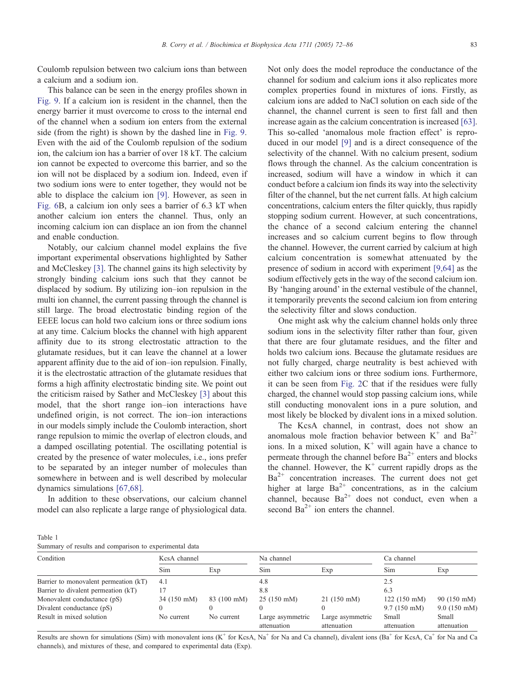<span id="page-11-0"></span>Coulomb repulsion between two calcium ions than between a calcium and a sodium ion.

This balance can be seen in the energy profiles shown in [Fig. 9.](#page-8-0) If a calcium ion is resident in the channel, then the energy barrier it must overcome to cross to the internal end of the channel when a sodium ion enters from the external side (from the right) is shown by the dashed line in [Fig. 9.](#page-8-0) Even with the aid of the Coulomb repulsion of the sodium ion, the calcium ion has a barrier of over 18 kT. The calcium ion cannot be expected to overcome this barrier, and so the ion will not be displaced by a sodium ion. Indeed, even if two sodium ions were to enter together, they would not be able to displace the calcium ion [\[9\].](#page-13-0) However, as seen in [Fig. 6B](#page-7-0), a calcium ion only sees a barrier of 6.3 kT when another calcium ion enters the channel. Thus, only an incoming calcium ion can displace an ion from the channel and enable conduction.

Notably, our calcium channel model explains the five important experimental observations highlighted by Sather and McCleskey [\[3\].](#page-13-0) The channel gains its high selectivity by strongly binding calcium ions such that they cannot be displaced by sodium. By utilizing ion–ion repulsion in the multi ion channel, the current passing through the channel is still large. The broad electrostatic binding region of the EEEE locus can hold two calcium ions or three sodium ions at any time. Calcium blocks the channel with high apparent affinity due to its strong electrostatic attraction to the glutamate residues, but it can leave the channel at a lower apparent affinity due to the aid of ion–ion repulsion. Finally, it is the electrostatic attraction of the glutamate residues that forms a high affinity electrostatic binding site. We point out the criticism raised by Sather and McCleskey [\[3\]](#page-13-0) about this model, that the short range ion–ion interactions have undefined origin, is not correct. The ion–ion interactions in our models simply include the Coulomb interaction, short range repulsion to mimic the overlap of electron clouds, and a damped oscillating potential. The oscillating potential is created by the presence of water molecules, i.e., ions prefer to be separated by an integer number of molecules than somewhere in between and is well described by molecular dynamics simulations [\[67,68\].](#page-14-0)

In addition to these observations, our calcium channel model can also replicate a large range of physiological data.

Not only does the model reproduce the conductance of the channel for sodium and calcium ions it also replicates more complex properties found in mixtures of ions. Firstly, as calcium ions are added to NaCl solution on each side of the channel, the channel current is seen to first fall and then increase again as the calcium concentration is increased [\[63\].](#page-14-0) This so-called 'anomalous mole fraction effect' is reproduced in our model [\[9\]](#page-13-0) and is a direct consequence of the selectivity of the channel. With no calcium present, sodium flows through the channel. As the calcium concentration is increased, sodium will have a window in which it can conduct before a calcium ion finds its way into the selectivity filter of the channel, but the net current falls. At high calcium concentrations, calcium enters the filter quickly, thus rapidly stopping sodium current. However, at such concentrations, the chance of a second calcium entering the channel increases and so calcium current begins to flow through the channel. However, the current carried by calcium at high calcium concentration is somewhat attenuated by the presence of sodium in accord with experiment [\[9,64\]](#page-13-0) as the sodium effectively gets in the way of the second calcium ion. By 'hanging around' in the external vestibule of the channel, it temporarily prevents the second calcium ion from entering the selectivity filter and slows conduction.

One might ask why the calcium channel holds only three sodium ions in the selectivity filter rather than four, given that there are four glutamate residues, and the filter and holds two calcium ions. Because the glutamate residues are not fully charged, charge neutrality is best achieved with either two calcium ions or three sodium ions. Furthermore, it can be seen from [Fig. 2C](#page-3-0) that if the residues were fully charged, the channel would stop passing calcium ions, while still conducting monovalent ions in a pure solution, and most likely be blocked by divalent ions in a mixed solution.

The KcsA channel, in contrast, does not show an anomalous mole fraction behavior between  $K^+$  and  $Ba^{2+}$ ions. In a mixed solution,  $K^+$  will again have a chance to permeate through the channel before  $\bar{B}a^{2+}$  enters and blocks the channel. However, the  $K^+$  current rapidly drops as the  $Ba<sup>2+</sup>$  concentration increases. The current does not get higher at large  $Ba^{2+}$  concentrations, as in the calcium channel, because  $Ba^{2+}$  does not conduct, even when a second  $Ba^{2+}$  ion enters the channel.

| Table 1 |  |  |                                                        |
|---------|--|--|--------------------------------------------------------|
|         |  |  | Summary of results and comparison to experimental data |

| Condition                             | KcsA channel |             | Na channel                      |                                 | Ca channel            |                       |
|---------------------------------------|--------------|-------------|---------------------------------|---------------------------------|-----------------------|-----------------------|
|                                       | Sim          | Exp         | Sim                             | Exp                             | Sim                   | Exp                   |
| Barrier to monovalent permeation (kT) | 4.1          |             | 4.8                             |                                 | 2.5                   |                       |
| Barrier to divalent permeation (kT)   |              |             | 8.8                             |                                 | 6.3                   |                       |
| Monovalent conductance (pS)           | 34 (150 mM)  | 83 (100 mM) | $25(150 \text{ mM})$            | $21(150 \text{ mM})$            | $122(150 \text{ mM})$ | $90(150 \text{ mM})$  |
| Divalent conductance (pS)             |              |             |                                 |                                 | $9.7(150 \text{ mM})$ | $9.0(150 \text{ mM})$ |
| Result in mixed solution              | No current   | No current  | Large asymmetric<br>attenuation | Large asymmetric<br>attenuation | Small<br>attenuation  | Small<br>attenuation  |

Results are shown for simulations (Sim) with monovalent ions  $(K^+$  for KcsA, Na<sup>+</sup> for Na and Ca channel), divalent ions (Ba<sup>+</sup> for KcsA, Ca<sup>+</sup> for Na and Ca channels), and mixtures of these, and compared to experimental data (Exp).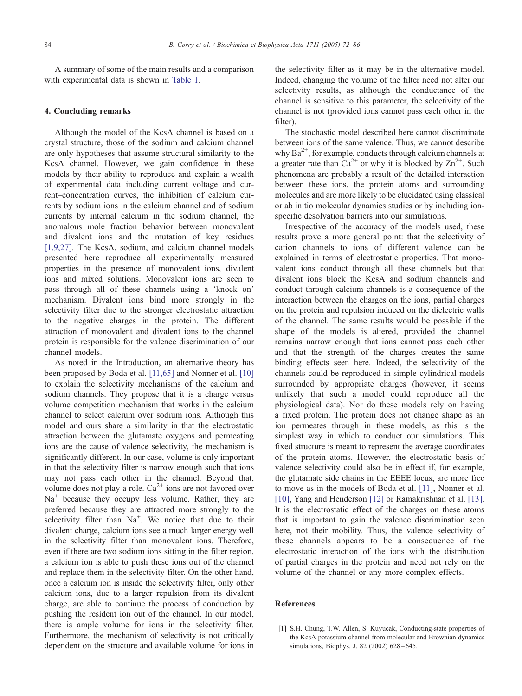<span id="page-12-0"></span>A summary of some of the main results and a comparison with experimental data is shown in [Table 1.](#page-11-0)

# 4. Concluding remarks

Although the model of the KcsA channel is based on a crystal structure, those of the sodium and calcium channel are only hypotheses that assume structural similarity to the KcsA channel. However, we gain confidence in these models by their ability to reproduce and explain a wealth of experimental data including current–voltage and current–concentration curves, the inhibition of calcium currents by sodium ions in the calcium channel and of sodium currents by internal calcium in the sodium channel, the anomalous mole fraction behavior between monovalent and divalent ions and the mutation of key residues [1,9,27]. The KcsA, sodium, and calcium channel models presented here reproduce all experimentally measured properties in the presence of monovalent ions, divalent ions and mixed solutions. Monovalent ions are seen to pass through all of these channels using a 'knock on' mechanism. Divalent ions bind more strongly in the selectivity filter due to the stronger electrostatic attraction to the negative charges in the protein. The different attraction of monovalent and divalent ions to the channel protein is responsible for the valence discrimination of our channel models.

As noted in the Introduction, an alternative theory has been proposed by Boda et al. [\[11,65\]](#page-13-0) and Nonner et al. [\[10\]](#page-13-0) to explain the selectivity mechanisms of the calcium and sodium channels. They propose that it is a charge versus volume competition mechanism that works in the calcium channel to select calcium over sodium ions. Although this model and ours share a similarity in that the electrostatic attraction between the glutamate oxygens and permeating ions are the cause of valence selectivity, the mechanism is significantly different. In our case, volume is only important in that the selectivity filter is narrow enough such that ions may not pass each other in the channel. Beyond that, volume does not play a role.  $Ca^{2+}$  ions are not favored over  $Na<sup>+</sup>$  because they occupy less volume. Rather, they are preferred because they are attracted more strongly to the selectivity filter than  $Na^+$ . We notice that due to their divalent charge, calcium ions see a much larger energy well in the selectivity filter than monovalent ions. Therefore, even if there are two sodium ions sitting in the filter region, a calcium ion is able to push these ions out of the channel and replace them in the selectivity filter. On the other hand, once a calcium ion is inside the selectivity filter, only other calcium ions, due to a larger repulsion from its divalent charge, are able to continue the process of conduction by pushing the resident ion out of the channel. In our model, there is ample volume for ions in the selectivity filter. Furthermore, the mechanism of selectivity is not critically dependent on the structure and available volume for ions in

the selectivity filter as it may be in the alternative model. Indeed, changing the volume of the filter need not alter our selectivity results, as although the conductance of the channel is sensitive to this parameter, the selectivity of the channel is not (provided ions cannot pass each other in the filter).

The stochastic model described here cannot discriminate between ions of the same valence. Thus, we cannot describe why  $Ba^{2+}$ , for example, conducts through calcium channels at a greater rate than  $Ca^{2+}$  or why it is blocked by  $Zn^{2+}$ . Such phenomena are probably a result of the detailed interaction between these ions, the protein atoms and surrounding molecules and are more likely to be elucidated using classical or ab initio molecular dynamics studies or by including ionspecific desolvation barriers into our simulations.

Irrespective of the accuracy of the models used, these results prove a more general point: that the selectivity of cation channels to ions of different valence can be explained in terms of electrostatic properties. That monovalent ions conduct through all these channels but that divalent ions block the KcsA and sodium channels and conduct through calcium channels is a consequence of the interaction between the charges on the ions, partial charges on the protein and repulsion induced on the dielectric walls of the channel. The same results would be possible if the shape of the models is altered, provided the channel remains narrow enough that ions cannot pass each other and that the strength of the charges creates the same binding effects seen here. Indeed, the selectivity of the channels could be reproduced in simple cylindrical models surrounded by appropriate charges (however, it seems unlikely that such a model could reproduce all the physiological data). Nor do these models rely on having a fixed protein. The protein does not change shape as an ion permeates through in these models, as this is the simplest way in which to conduct our simulations. This fixed structure is meant to represent the average coordinates of the protein atoms. However, the electrostatic basis of valence selectivity could also be in effect if, for example, the glutamate side chains in the EEEE locus, are more free to move as in the models of Boda et al. [\[11\],](#page-13-0) Nonner et al. [\[10\],](#page-13-0) Yang and Henderson [\[12\]](#page-13-0) or Ramakrishnan et al. [\[13\].](#page-13-0) It is the electrostatic effect of the charges on these atoms that is important to gain the valence discrimination seen here, not their mobility. Thus, the valence selectivity of these channels appears to be a consequence of the electrostatic interaction of the ions with the distribution of partial charges in the protein and need not rely on the volume of the channel or any more complex effects.

### References

[1] S.H. Chung, T.W. Allen, S. Kuyucak, Conducting-state properties of the KcsA potassium channel from molecular and Brownian dynamics simulations, Biophys. J. 82 (2002) 628 – 645.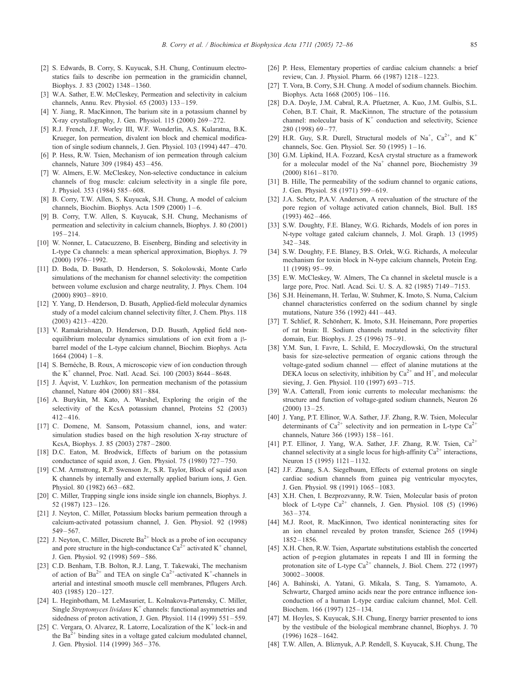- <span id="page-13-0"></span>[2] S. Edwards, B. Corry, S. Kuyucak, S.H. Chung, Continuum electrostatics fails to describe ion permeation in the gramicidin channel, Biophys. J. 83 (2002) 1348 – 1360.
- [3] W.A. Sather, E.W. McCleskey, Permeation and selectivity in calcium channels, Annu. Rev. Physiol. 65 (2003) 133 – 159.
- [4] Y. Jiang, R. MacKinnon, The barium site in a potassium channel by X-ray crystallography, J. Gen. Physiol. 115 (2000) 269 – 272.
- [5] R.J. French, J.F. Worley III, W.F. Wonderlin, A.S. Kularatna, B.K. Krueger, Ion permeation, divalent ion block and chemical modification of single sodium channels, J. Gen. Physiol. 103 (1994) 447 – 470.
- [6] P. Hess, R.W. Tsien, Mechanism of ion permeation through calcium channels, Nature 309 (1984) 453 – 456.
- [7] W. Almers, E.W. McCleskey, Non-selective conductance in calcium channels of frog muscle: calcium selectivity in a single file pore, J. Physiol. 353 (1984) 585 – 608.
- [8] B. Corry, T.W. Allen, S. Kuyucak, S.H. Chung, A model of calcium channels, Biochim. Biophys. Acta 1509 (2000)  $1-6$ .
- [9] B. Corry, T.W. Allen, S. Kuyucak, S.H. Chung, Mechanisms of permeation and selectivity in calcium channels, Biophys. J. 80 (2001)  $195 - 214.$
- [10] W. Nonner, L. Catacuzzeno, B. Eisenberg, Binding and selectivity in L-type Ca channels: a mean spherical approximation, Biophys. J. 79  $(2000)$  1976 – 1992.
- [11] D. Boda, D. Busath, D. Henderson, S. Sokolowski, Monte Carlo simulations of the mechanism for channel selectivity: the competition between volume exclusion and charge neutrality, J. Phys. Chem. 104 (2000) 8903 – 8910.
- [12] Y. Yang, D. Henderson, D. Busath, Applied-field molecular dynamics study of a model calcium channel selectivity filter, J. Chem. Phys. 118 (2003) 4213 – 4220.
- [13] V. Ramakrishnan, D. Henderson, D.D. Busath, Applied field nonequilibrium molecular dynamics simulations of ion exit from a  $\beta$ barrel model of the L-type calcium channel, Biochim. Biophys. Acta  $1664 (2004)$   $1-8$ .
- [14] S. Bernéche, B. Roux, A microscopic view of ion conduction through the  $K^+$  channel, Proc. Natl. Acad. Sci. 100 (2003) 8644-8648.
- [15] J. Aqvist, V. Luzhkov, Ion permeation mechanism of the potassium channel, Nature 404 (2000) 881 – 884.
- [16] A. Burykin, M. Kato, A. Warshel, Exploring the origin of the selectivity of the KcsA potassium channel, Proteins 52 (2003)  $412 - 416$
- [17] C. Domene, M. Sansom, Potassium channel, ions, and water: simulation studies based on the high resolution X-ray structure of KcsA, Biophys. J. 85 (2003) 2787 – 2800.
- [18] D.C. Eaton, M. Brodwick, Effects of barium on the potassium conductance of squid axon, J. Gen. Physiol. 75 (1980) 727 – 750.
- [19] C.M. Armstrong, R.P. Swenson Jr., S.R. Taylor, Block of squid axon K channels by internally and externally applied barium ions, J. Gen. Physiol. 80 (1982) 663-682.
- [20] C. Miller, Trapping single ions inside single ion channels, Biophys. J. 52 (1987) 123 – 126.
- [21] J. Neyton, C. Miller, Potassium blocks barium permeation through a calcium-activated potassium channel, J. Gen. Physiol. 92 (1998)  $549 - 567$
- [22] J. Neyton, C. Miller, Discrete  $Ba^{2+}$  block as a probe of ion occupancy and pore structure in the high-conductance  $Ca^{2+}$  activated K<sup>+</sup> channel, J. Gen. Physiol. 92 (1998) 569 – 586.
- [23] C.D. Benham, T.B. Bolton, R.J. Lang, T. Takewaki, The mechanism of action of  $Ba^{2+}$  and TEA on single  $Ca^{2+}$ -activated K<sup>+</sup>-channels in arterial and intestinal smooth muscle cell membranes, Pflugers Arch. 403 (1985) 120 – 127.
- [24] L. Heginbotham, M. LeMasurier, L. Kolnakova-Partensky, C. Miller, Single Streptomyces lividans  $K^+$  channels: functional asymmetries and sidedness of proton activation, J. Gen. Physiol. 114 (1999) 551 – 559.
- [25] C. Vergara, O. Alvarez, R. Latorre, Localization of the K<sup>+</sup> lock-in and the  $Ba^{2+}$  binding sites in a voltage gated calcium modulated channel, J. Gen. Physiol. 114 (1999) 365 – 376.
- [26] P. Hess, Elementary properties of cardiac calcium channels: a brief review, Can. J. Physiol. Pharm. 66 (1987) 1218 – 1223.
- [27] T. Vora, B. Corry, S.H. Chung. A model of sodium channels. Biochim. Biophys. Acta 1668 (2005) 106-116.
- [28] D.A. Doyle, J.M. Cabral, R.A. Pfuetzner, A. Kuo, J.M. Gulbis, S.L. Cohen, B.T. Chait, R. MacKinnon, The structure of the potassium channel: molecular basis of  $K^+$  conduction and selectivity, Science 280 (1998) 69 – 77.
- [29] H.R. Guy, S.R. Durell, Structural models of Na<sup>+</sup>, Ca<sup>2+</sup>, and K<sup>+</sup> channels, Soc. Gen. Physiol. Ser. 50 (1995) 1 – 16.
- [30] G.M. Lipkind, H.A. Fozzard, KcsA crystal structure as a framework for a molecular model of the  $Na<sup>+</sup>$  channel pore, Biochemistry 39  $(2000)$  8161 – 8170.
- [31] B. Hille, The permeability of the sodium channel to organic cations, J. Gen. Physiol. 58 (1971) 599 – 619.
- [32] J.A. Schetz, P.A.V. Anderson, A reevaluation of the structure of the pore region of voltage activated cation channels, Biol. Bull. 185  $(1993)$  462 – 466.
- [33] S.W. Doughty, F.E. Blaney, W.G. Richards, Models of ion pores in N-type voltage gated calcium channels, J. Mol. Graph. 13 (1995)  $342 - 348.$
- [34] S.W. Doughty, F.E. Blaney, B.S. Orlek, W.G. Richards, A molecular mechanism for toxin block in N-type calcium channels, Protein Eng. 11 (1998) 95 – 99.
- [35] E.W. McCleskey, W. Almers, The Ca channel in skeletal muscle is a large pore, Proc. Natl. Acad. Sci. U. S. A. 82 (1985) 7149 – 7153.
- [36] S.H. Heinemann, H. Terlau, W. Stuhmer, K. Imoto, S. Numa, Calcium channel characteristics conferred on the sodium channel by single mutations, Nature 356 (1992) 441 – 443.
- [37] T. Schlief, R. Schönherr, K. Imoto, S.H. Heinemann, Pore properties of rat brain: II. Sodium channels mutated in the selectivity filter domain, Eur. Biophys. J. 25 (1996) 75 – 91.
- [38] Y.M. Sun, I. Favre, L. Schild, E. Moczydlowski, On the structural basis for size-selective permeation of organic cations through the voltage-gated sodium channel — effect of alanine mutations at the DEKA locus on selectivity, inhibition by  $Ca^{2+}$  and H<sup>+</sup>, and molecular sieving, J. Gen. Physiol. 110 (1997) 693-715.
- [39] W.A. Catterall, From ionic currents to molecular mechanisms: the structure and function of voltage-gated sodium channels, Neuron 26  $(2000)$  13 – 25.
- [40] J. Yang, P.T. Ellinor, W.A. Sather, J.F. Zhang, R.W. Tsien, Molecular determinants of  $Ca^{2+}$  selectivity and ion permeation in L-type  $Ca^{2+}$ channels, Nature 366 (1993) 158-161.
- [41] P.T. Ellinor, J. Yang, W.A. Sather, J.F. Zhang, R.W. Tsien, Ca<sup>2+</sup> channel selectivity at a single locus for high-affinity  $Ca^{2+}$  interactions, Neuron 15 (1995) 1121-1132.
- [42] J.F. Zhang, S.A. Siegelbaum, Effects of external protons on single cardiac sodium channels from guinea pig ventricular myocytes, J. Gen. Physiol. 98 (1991) 1065 – 1083.
- [43] X.H. Chen, I. Bezprozvanny, R.W. Tsien, Molecular basis of proton block of L-type  $Ca^{2+}$  channels, J. Gen. Physiol. 108 (5) (1996)  $363 - 374$
- [44] M.J. Root, R. MacKinnon, Two identical noninteracting sites for an ion channel revealed by proton transfer, Science 265 (1994) 1852 – 1856.
- [45] X.H. Chen, R.W. Tsien, Aspartate substitutions establish the concerted action of p-region glutamates in repeats I and III in forming the protonation site of L-type  $Ca^{2+}$  channels, J. Biol. Chem. 272 (1997) 30002 – 30008.
- [46] A. Bahinski, A. Yatani, G. Mikala, S. Tang, S. Yamamoto, A. Schwartz, Charged amino acids near the pore entrance influence ionconduction of a human L-type cardiac calcium channel, Mol. Cell. Biochem. 166 (1997) 125-134.
- [47] M. Hoyles, S. Kuyucak, S.H. Chung, Energy barrier presented to ions by the vestibule of the biological membrane channel, Biophys. J. 70  $(1996) 1628 - 1642.$
- [48] T.W. Allen, A. Bliznyuk, A.P. Rendell, S. Kuyucak, S.H. Chung, The